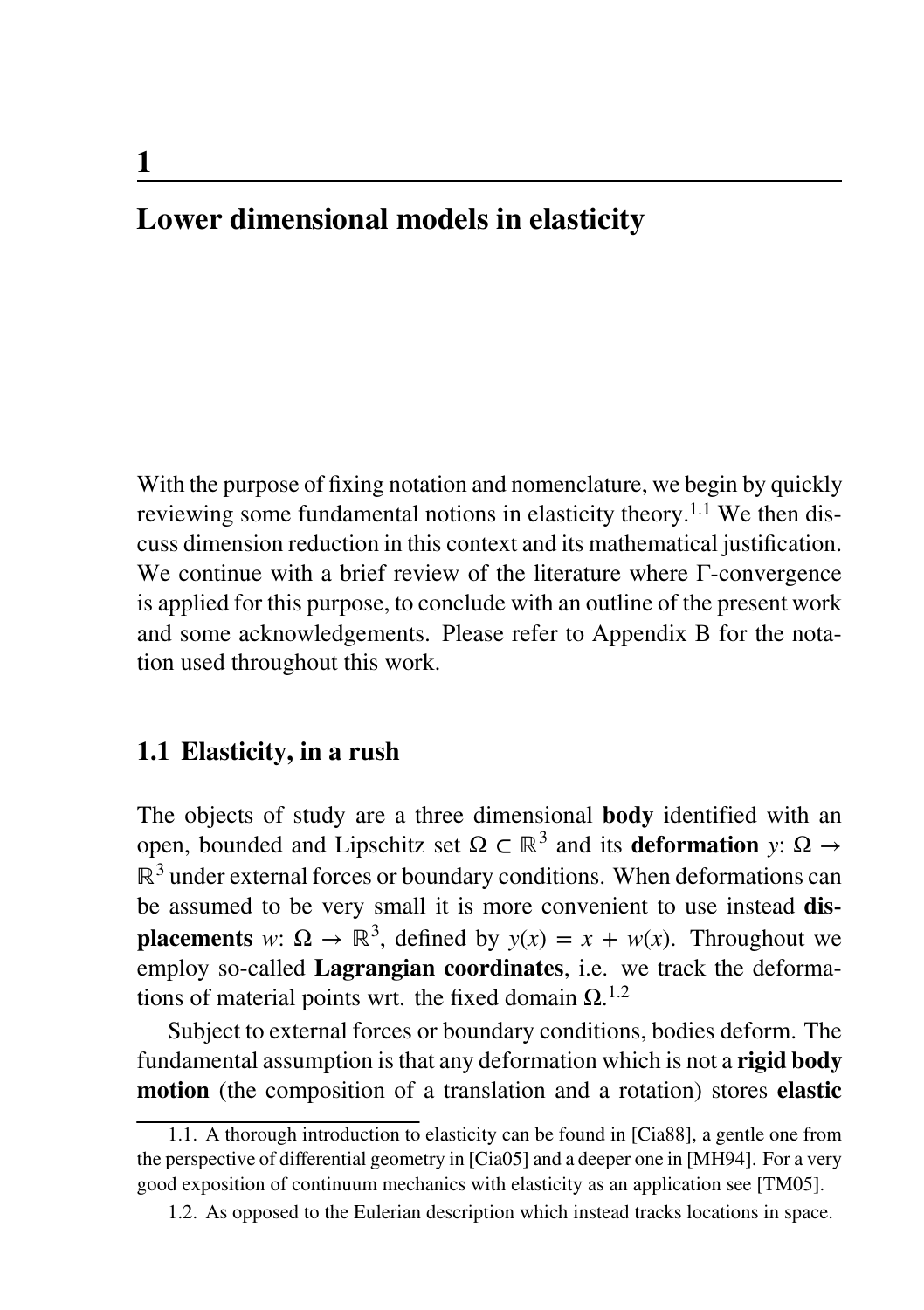## **Lower dimensional models in elasticity**

With the purpose of fixing notation and nomenclature, we begin by quickly reviewing some fundamental notions in elasticity theory.1.1 We then dis cuss dimension reduction in this context and its mathematical justification. We continue with a brief review of the literature where Γ-convergence is applied for this purpose, to conclude with an outline of the present work and some acknowledgements. Please refer to Appendix [B](#page--1-0) for the notation used throughout this work.

## **1.1 Elasticity, in a rush**

The objects of study are a three dimensional **body** identified with an open, bounded and Lipschitz set  $\Omega$  ⊂ ℝ<sup>3</sup> and its **deformation** *y*:  $\Omega$  →  $\mathbb{R}^3$  under external forces or boundary conditions. When deformations can be assumed to be very small it is more convenient to use instead **dis placements** *w*:  $\Omega \to \mathbb{R}^3$ , defined by  $y(x) = x + w(x)$ . Throughout we employ so-called **Lagrangian coordinates**, i.e. we track the deformations of material points wrt. the fixed domain  $\Omega$ <sup>1.2</sup>

Subject to external forces or boundary conditions, bodies deform. The fundamental assumption isthat any deformation which isnot a **rigid body motion** (the composition of a translation and a rotation) stores **elastic** 

**1**

<sup>1.1.</sup> A thorough introduction to elasticity can be found in [\[Cia88\]](#page--1-1), a gentle one from the perspective of differential geometry in [\[Cia05\]](#page--1-2) and a deeper one in [\[MH94\]](#page--1-3). For a very good exposition of continuum mechanics with elasticity as an application see [\[TM05\]](#page--1-4).

<sup>1.2.</sup> As opposed to the Eulerian description which instead tracks locations in space.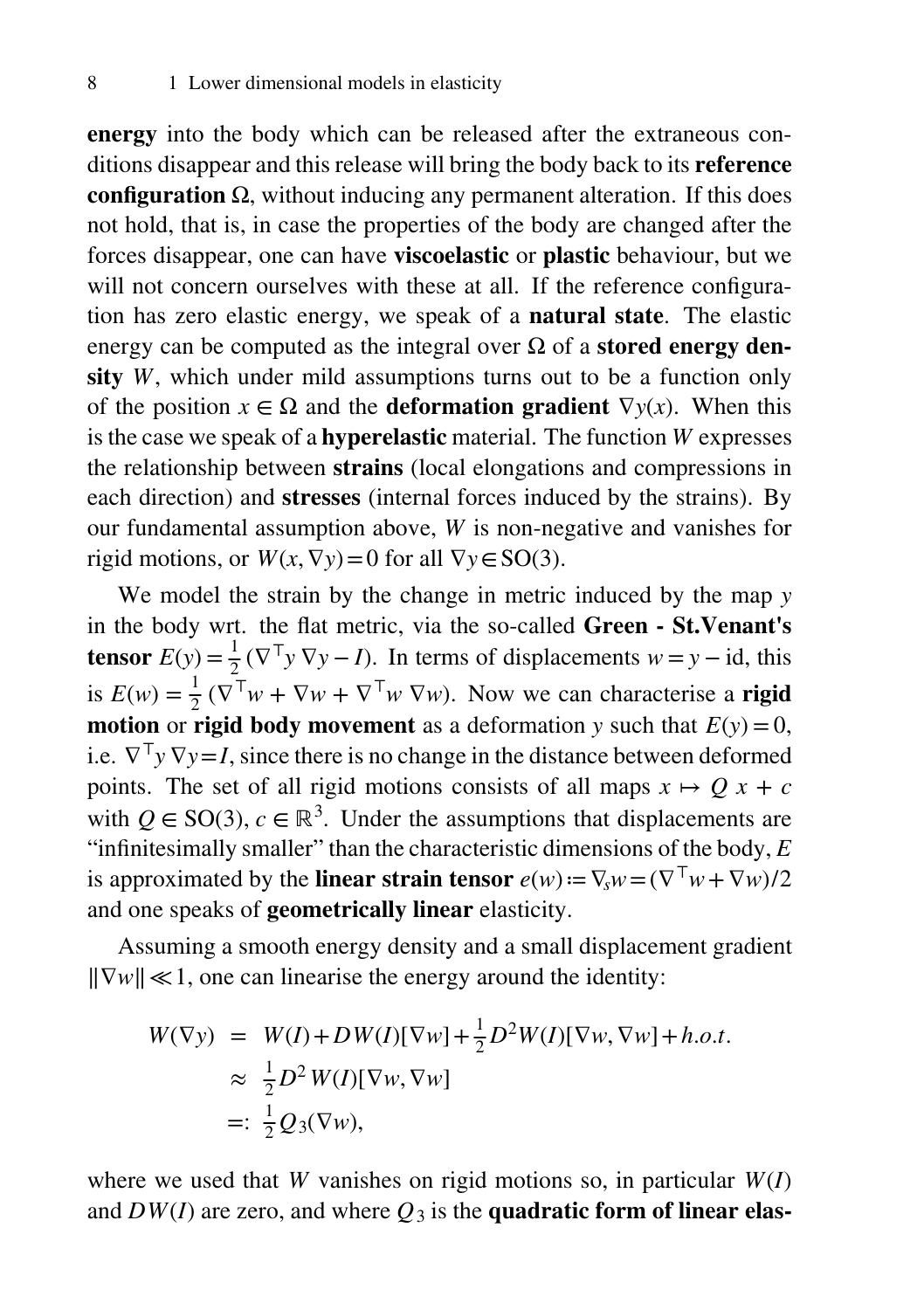**energy** into the body which can be released after the extraneous con ditions disappear and this release will bring the body back to its **reference configuration** Ω, without inducing any permanent alteration. If this does not hold, that is, in case the properties of the body are changed after the forces disappear, one can have **viscoelastic** or **plastic** behaviour, but we will not concern ourselves with these at all. If the reference configuration has zero elastic energy, we speak of a **natural state**. The elastic energy can be computed as the integral over  $\Omega$  of a **stored energy density** *W*, which under mild assumptions turns out to be a function only of the position  $x \in \Omega$  and the **deformation gradient**  $\nabla y(x)$ . When this is the case we speak of a **hyperelastic** material. The function *W* expresses the relationship between **strains** (local elongations and compressions in each direction) and **stresses** (internal forces induced by the strains). By our fundamental assumption above, *W* is non-negative and vanishes for rigid motions, or  $W(x, \nabla y) = 0$  for all  $\nabla y \in SO(3)$ .

We model the strain by the change in metric induced by the map *y* in the body wrt. the flat metric, via the so-called **Green - St.Venant's tensor**  $E(y) = \frac{1}{2} (\nabla^{\top} y \nabla y \frac{1}{2}(\nabla^{\top} y \nabla y - I)$ . In terms of displacements  $w = y - id$ , this is  $E(w) = \frac{1}{2} (\nabla^{\top} w + \nabla$  $\frac{1}{2}(\nabla^{\top} w + \nabla w + \nabla^{\top} w \nabla w)$ . Now we can characterise a **rigid motion** or **rigid** body **movement** as a deformation *y* such that  $E(y) = 0$ , i.e. ∇ <sup>⊤</sup>*y* ∇*y*=*I*, since there is no change in the distance between deformed points. The set of all rigid motions consists of all maps  $x \mapsto Q x + c$ with  $Q \in SO(3)$ ,  $c \in \mathbb{R}^3$ . Under the assumptions that displacements are "infinitesimally smaller" than the characteristic dimensions of the body, *E* is approximated by the **linear strain tensor**  $e(w) = \nabla_s w = (\nabla^\top w + \nabla w)/2$ and one speaks of **geometrically linear** elasticity.

Assuming a smooth energy density and a small displacement gradient ‖∇*w*‖≪1, one can linearise the energy around the identity:

$$
W(\nabla y) = W(I) + DW(I)[\nabla w] + \frac{1}{2}D^2W(I)[\nabla w, \nabla w] + h.o.t.
$$
  
\n
$$
\approx \frac{1}{2}D^2W(I)[\nabla w, \nabla w]
$$
  
\n
$$
=:\frac{1}{2}Q_3(\nabla w),
$$

where we used that *W* vanishes on rigid motions so, in particular *W*(*I*) and  $DW(I)$  are zero, and where  $Q_3$  is the **quadratic form of linear elas-**